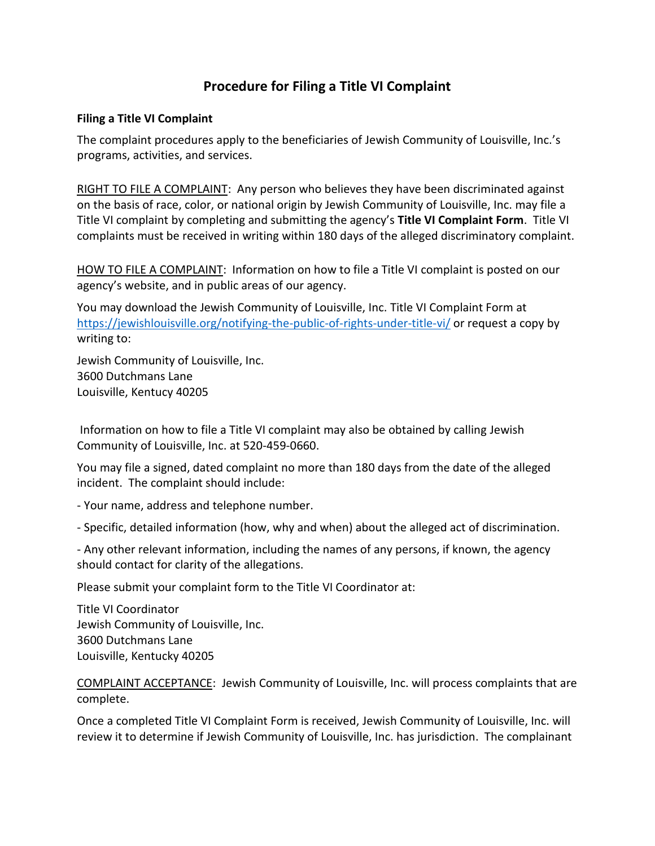## **Procedure for Filing a Title VI Complaint**

## **Filing a Title VI Complaint**

The complaint procedures apply to the beneficiaries of Jewish Community of Louisville, Inc.'s programs, activities, and services.

RIGHT TO FILE A COMPLAINT: Any person who believes they have been discriminated against on the basis of race, color, or national origin by Jewish Community of Louisville, Inc. may file a Title VI complaint by completing and submitting the agency's **Title VI Complaint Form**. Title VI complaints must be received in writing within 180 days of the alleged discriminatory complaint.

HOW TO FILE A COMPLAINT: Information on how to file a Title VI complaint is posted on our agency's website, and in public areas of our agency.

You may download the Jewish Community of Louisville, Inc. Title VI Complaint Form at <https://jewishlouisville.org/notifying-the-public-of-rights-under-title-vi/> or request a copy by writing to:

Jewish Community of Louisville, Inc. 3600 Dutchmans Lane Louisville, Kentucy 40205

Information on how to file a Title VI complaint may also be obtained by calling Jewish Community of Louisville, Inc. at 520-459-0660.

You may file a signed, dated complaint no more than 180 days from the date of the alleged incident. The complaint should include:

- Your name, address and telephone number.

- Specific, detailed information (how, why and when) about the alleged act of discrimination.

- Any other relevant information, including the names of any persons, if known, the agency should contact for clarity of the allegations.

Please submit your complaint form to the Title VI Coordinator at:

Title VI Coordinator Jewish Community of Louisville, Inc. 3600 Dutchmans Lane Louisville, Kentucky 40205

COMPLAINT ACCEPTANCE: Jewish Community of Louisville, Inc. will process complaints that are complete.

Once a completed Title VI Complaint Form is received, Jewish Community of Louisville, Inc. will review it to determine if Jewish Community of Louisville, Inc. has jurisdiction. The complainant